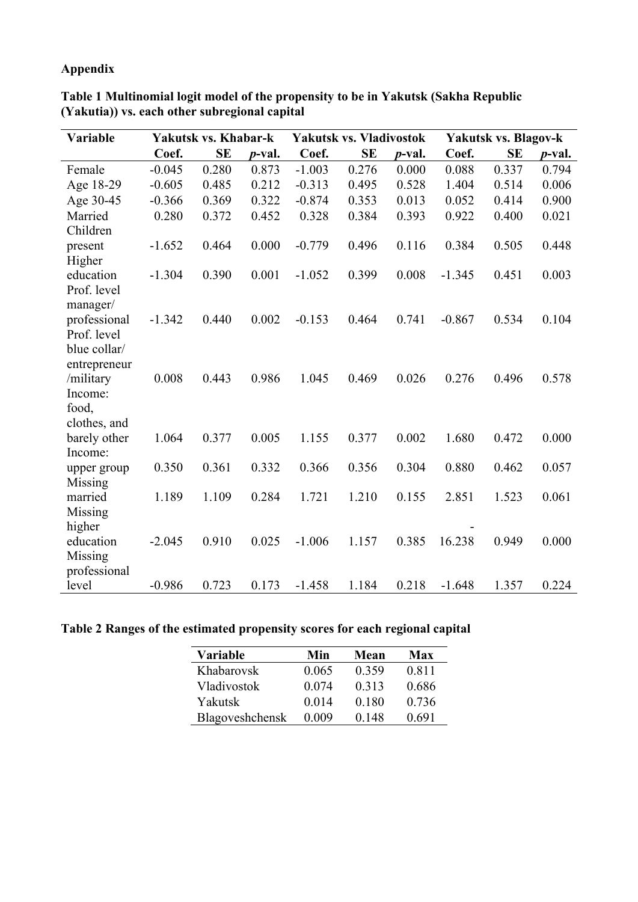# **Appendix**

| Variable                                                                                                                                                                                                            |                                                          | Yakutsk vs. Khabar-k                               |                                                    | <b>Yakutsk vs. Vladivostok</b>                           |                                                    |                                                    | Yakutsk vs. Blagov-k                                   |                                                    |                                                    |  |
|---------------------------------------------------------------------------------------------------------------------------------------------------------------------------------------------------------------------|----------------------------------------------------------|----------------------------------------------------|----------------------------------------------------|----------------------------------------------------------|----------------------------------------------------|----------------------------------------------------|--------------------------------------------------------|----------------------------------------------------|----------------------------------------------------|--|
|                                                                                                                                                                                                                     | Coef.                                                    | <b>SE</b>                                          | <i>p</i> -val.                                     | Coef.                                                    | <b>SE</b>                                          | <i>p</i> -val.                                     | Coef.                                                  | <b>SE</b>                                          | <i>p</i> -val.                                     |  |
| Female                                                                                                                                                                                                              | $-0.045$                                                 | 0.280                                              | 0.873                                              | $-1.003$                                                 | 0.276                                              | 0.000                                              | 0.088                                                  | 0.337                                              | 0.794                                              |  |
| Age 18-29                                                                                                                                                                                                           | $-0.605$                                                 | 0.485                                              | 0.212                                              | $-0.313$                                                 | 0.495                                              | 0.528                                              | 1.404                                                  | 0.514                                              | 0.006                                              |  |
| Age 30-45                                                                                                                                                                                                           | $-0.366$                                                 | 0.369                                              | 0.322                                              | $-0.874$                                                 | 0.353                                              | 0.013                                              | 0.052                                                  | 0.414                                              | 0.900                                              |  |
| Married                                                                                                                                                                                                             | 0.280                                                    | 0.372                                              | 0.452                                              | 0.328                                                    | 0.384                                              | 0.393                                              | 0.922                                                  | 0.400                                              | 0.021                                              |  |
| Children                                                                                                                                                                                                            |                                                          |                                                    |                                                    |                                                          |                                                    |                                                    |                                                        |                                                    |                                                    |  |
| present                                                                                                                                                                                                             | $-1.652$                                                 | 0.464                                              | 0.000                                              | $-0.779$                                                 | 0.496                                              | 0.116                                              | 0.384                                                  | 0.505                                              | 0.448                                              |  |
| Higher                                                                                                                                                                                                              |                                                          |                                                    |                                                    |                                                          |                                                    |                                                    |                                                        |                                                    |                                                    |  |
| education                                                                                                                                                                                                           | $-1.304$                                                 | 0.390                                              | 0.001                                              | $-1.052$                                                 | 0.399                                              | 0.008                                              | $-1.345$                                               | 0.451                                              | 0.003                                              |  |
| Prof. level                                                                                                                                                                                                         |                                                          |                                                    |                                                    |                                                          |                                                    |                                                    |                                                        |                                                    |                                                    |  |
| manager/                                                                                                                                                                                                            |                                                          |                                                    |                                                    |                                                          |                                                    |                                                    |                                                        |                                                    |                                                    |  |
| professional                                                                                                                                                                                                        | $-1.342$                                                 | 0.440                                              | 0.002                                              | $-0.153$                                                 | 0.464                                              | 0.741                                              | $-0.867$                                               | 0.534                                              | 0.104                                              |  |
| Prof. level                                                                                                                                                                                                         |                                                          |                                                    |                                                    |                                                          |                                                    |                                                    |                                                        |                                                    |                                                    |  |
|                                                                                                                                                                                                                     |                                                          |                                                    |                                                    |                                                          |                                                    |                                                    |                                                        |                                                    |                                                    |  |
|                                                                                                                                                                                                                     |                                                          |                                                    |                                                    |                                                          |                                                    |                                                    |                                                        |                                                    |                                                    |  |
|                                                                                                                                                                                                                     |                                                          |                                                    |                                                    |                                                          |                                                    |                                                    |                                                        |                                                    |                                                    |  |
|                                                                                                                                                                                                                     |                                                          |                                                    |                                                    |                                                          |                                                    |                                                    |                                                        |                                                    |                                                    |  |
|                                                                                                                                                                                                                     |                                                          |                                                    |                                                    |                                                          |                                                    |                                                    |                                                        |                                                    |                                                    |  |
|                                                                                                                                                                                                                     |                                                          |                                                    |                                                    |                                                          |                                                    |                                                    |                                                        |                                                    |                                                    |  |
|                                                                                                                                                                                                                     |                                                          |                                                    |                                                    |                                                          |                                                    |                                                    |                                                        |                                                    |                                                    |  |
|                                                                                                                                                                                                                     |                                                          |                                                    |                                                    |                                                          |                                                    |                                                    |                                                        |                                                    |                                                    |  |
|                                                                                                                                                                                                                     |                                                          |                                                    |                                                    |                                                          |                                                    |                                                    |                                                        |                                                    |                                                    |  |
|                                                                                                                                                                                                                     |                                                          |                                                    |                                                    |                                                          |                                                    |                                                    |                                                        |                                                    |                                                    |  |
|                                                                                                                                                                                                                     |                                                          |                                                    |                                                    |                                                          |                                                    |                                                    |                                                        |                                                    |                                                    |  |
|                                                                                                                                                                                                                     |                                                          |                                                    |                                                    |                                                          |                                                    |                                                    |                                                        |                                                    |                                                    |  |
|                                                                                                                                                                                                                     |                                                          |                                                    |                                                    |                                                          |                                                    |                                                    |                                                        |                                                    |                                                    |  |
|                                                                                                                                                                                                                     |                                                          |                                                    |                                                    |                                                          |                                                    |                                                    |                                                        |                                                    |                                                    |  |
|                                                                                                                                                                                                                     |                                                          |                                                    |                                                    |                                                          |                                                    |                                                    |                                                        |                                                    |                                                    |  |
|                                                                                                                                                                                                                     |                                                          |                                                    |                                                    |                                                          |                                                    |                                                    |                                                        |                                                    |                                                    |  |
| blue collar/<br>entrepreneur<br>/military<br>Income:<br>food,<br>clothes, and<br>barely other<br>Income:<br>upper group<br>Missing<br>married<br>Missing<br>higher<br>education<br>Missing<br>professional<br>level | 0.008<br>1.064<br>0.350<br>1.189<br>$-2.045$<br>$-0.986$ | 0.443<br>0.377<br>0.361<br>1.109<br>0.910<br>0.723 | 0.986<br>0.005<br>0.332<br>0.284<br>0.025<br>0.173 | 1.045<br>1.155<br>0.366<br>1.721<br>$-1.006$<br>$-1.458$ | 0.469<br>0.377<br>0.356<br>1.210<br>1.157<br>1.184 | 0.026<br>0.002<br>0.304<br>0.155<br>0.385<br>0.218 | 0.276<br>1.680<br>0.880<br>2.851<br>16.238<br>$-1.648$ | 0.496<br>0.472<br>0.462<br>1.523<br>0.949<br>1.357 | 0.578<br>0.000<br>0.057<br>0.061<br>0.000<br>0.224 |  |

**Table 1 Multinomial logit model of the propensity to be in Yakutsk (Sakha Republic (Yakutia)) vs. each other subregional capital**

### **Table 2 Ranges of the estimated propensity scores for each regional capital**

| Variable        | Min   | Mean  | Max   |
|-----------------|-------|-------|-------|
| Khabarovsk      | 0.065 | 0.359 | 0.811 |
| Vladivostok     | 0.074 | 0.313 | 0.686 |
| Yakutsk         | 0.014 | 0.180 | 0.736 |
| Blagoveshchensk | 0.009 | 0.148 | 0.691 |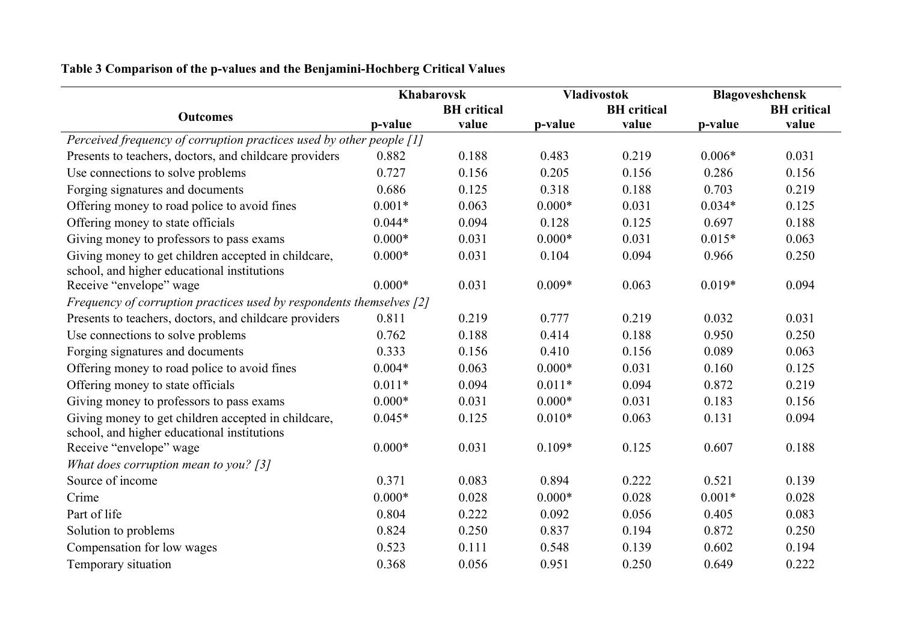|                                                                      |          | <b>Khabarovsk</b>  |          | <b>Vladivostok</b> | Blagoveshchensk |                    |
|----------------------------------------------------------------------|----------|--------------------|----------|--------------------|-----------------|--------------------|
| <b>Outcomes</b>                                                      |          | <b>BH</b> critical |          | <b>BH</b> critical |                 | <b>BH</b> critical |
|                                                                      | p-value  | value              | p-value  | value              | p-value         | value              |
| Perceived frequency of corruption practices used by other people [1] |          |                    |          |                    |                 |                    |
| Presents to teachers, doctors, and childcare providers               | 0.882    | 0.188              | 0.483    | 0.219              | $0.006*$        | 0.031              |
| Use connections to solve problems                                    | 0.727    | 0.156              | 0.205    | 0.156              | 0.286           | 0.156              |
| Forging signatures and documents                                     | 0.686    | 0.125              | 0.318    | 0.188              | 0.703           | 0.219              |
| Offering money to road police to avoid fines                         | $0.001*$ | 0.063              | $0.000*$ | 0.031              | $0.034*$        | 0.125              |
| Offering money to state officials                                    | $0.044*$ | 0.094              | 0.128    | 0.125              | 0.697           | 0.188              |
| Giving money to professors to pass exams                             | $0.000*$ | 0.031              | $0.000*$ | 0.031              | $0.015*$        | 0.063              |
| Giving money to get children accepted in childcare,                  | $0.000*$ | 0.031              | 0.104    | 0.094              | 0.966           | 0.250              |
| school, and higher educational institutions                          |          |                    |          |                    |                 |                    |
| Receive "envelope" wage                                              | $0.000*$ | 0.031              | $0.009*$ | 0.063              | $0.019*$        | 0.094              |
| Frequency of corruption practices used by respondents themselves [2] |          |                    |          |                    |                 |                    |
| Presents to teachers, doctors, and childcare providers               | 0.811    | 0.219              | 0.777    | 0.219              | 0.032           | 0.031              |
| Use connections to solve problems                                    | 0.762    | 0.188              | 0.414    | 0.188              | 0.950           | 0.250              |
| Forging signatures and documents                                     | 0.333    | 0.156              | 0.410    | 0.156              | 0.089           | 0.063              |
| Offering money to road police to avoid fines                         | $0.004*$ | 0.063              | $0.000*$ | 0.031              | 0.160           | 0.125              |
| Offering money to state officials                                    | $0.011*$ | 0.094              | $0.011*$ | 0.094              | 0.872           | 0.219              |
| Giving money to professors to pass exams                             | $0.000*$ | 0.031              | $0.000*$ | 0.031              | 0.183           | 0.156              |
| Giving money to get children accepted in childcare,                  | $0.045*$ | 0.125              | $0.010*$ | 0.063              | 0.131           | 0.094              |
| school, and higher educational institutions                          |          |                    |          |                    |                 |                    |
| Receive "envelope" wage                                              | $0.000*$ | 0.031              | $0.109*$ | 0.125              | 0.607           | 0.188              |
| What does corruption mean to you? $[3]$                              |          |                    |          |                    |                 |                    |
| Source of income                                                     | 0.371    | 0.083              | 0.894    | 0.222              | 0.521           | 0.139              |
| Crime                                                                | $0.000*$ | 0.028              | $0.000*$ | 0.028              | $0.001*$        | 0.028              |
| Part of life                                                         | 0.804    | 0.222              | 0.092    | 0.056              | 0.405           | 0.083              |
| Solution to problems                                                 | 0.824    | 0.250              | 0.837    | 0.194              | 0.872           | 0.250              |
| Compensation for low wages                                           | 0.523    | 0.111              | 0.548    | 0.139              | 0.602           | 0.194              |
| Temporary situation                                                  | 0.368    | 0.056              | 0.951    | 0.250              | 0.649           | 0.222              |

# **Table 3 Comparison of the p-values and the Benjamini-Hochberg Critical Values**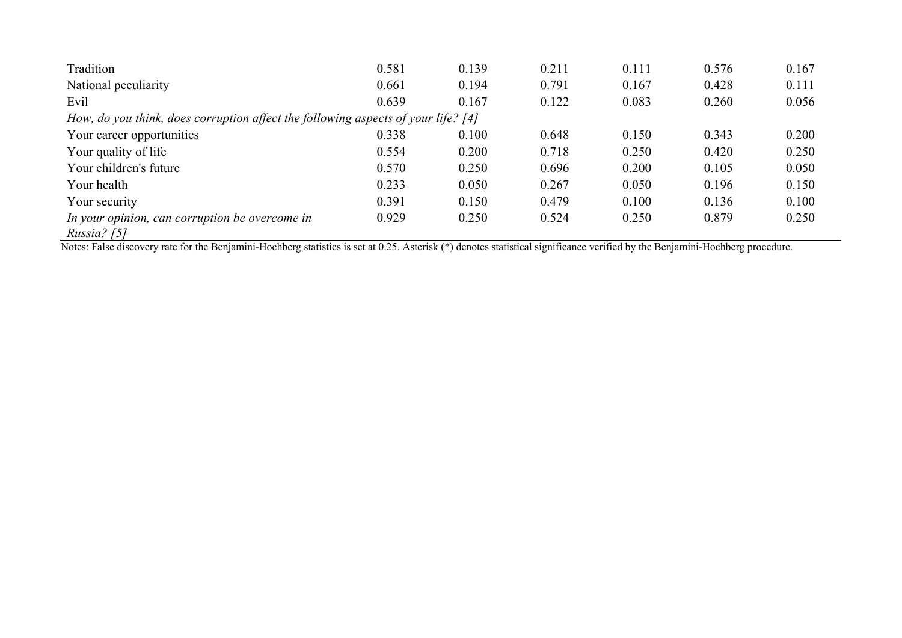| Tradition                                                                         | 0.581 | 0.139 | 0.211 | 0.111 | 0.576 | 0.167 |  |  |  |  |
|-----------------------------------------------------------------------------------|-------|-------|-------|-------|-------|-------|--|--|--|--|
| National peculiarity                                                              | 0.661 | 0.194 | 0.791 | 0.167 | 0.428 | 0.111 |  |  |  |  |
| Evil                                                                              | 0.639 | 0.167 | 0.122 | 0.083 | 0.260 | 0.056 |  |  |  |  |
| How, do you think, does corruption affect the following aspects of your life? [4] |       |       |       |       |       |       |  |  |  |  |
| Your career opportunities                                                         | 0.338 | 0.100 | 0.648 | 0.150 | 0.343 | 0.200 |  |  |  |  |
| Your quality of life                                                              | 0.554 | 0.200 | 0.718 | 0.250 | 0.420 | 0.250 |  |  |  |  |
| Your children's future                                                            | 0.570 | 0.250 | 0.696 | 0.200 | 0.105 | 0.050 |  |  |  |  |
| Your health                                                                       | 0.233 | 0.050 | 0.267 | 0.050 | 0.196 | 0.150 |  |  |  |  |
| Your security                                                                     | 0.391 | 0.150 | 0.479 | 0.100 | 0.136 | 0.100 |  |  |  |  |
| In your opinion, can corruption be overcome in<br>Russia? $[5]$                   | 0.929 | 0.250 | 0.524 | 0.250 | 0.879 | 0.250 |  |  |  |  |

Notes: False discovery rate for the Benjamini-Hochberg statistics is set at 0.25. Asterisk (\*) denotes statistical significance verified by the Benjamini-Hochberg procedure.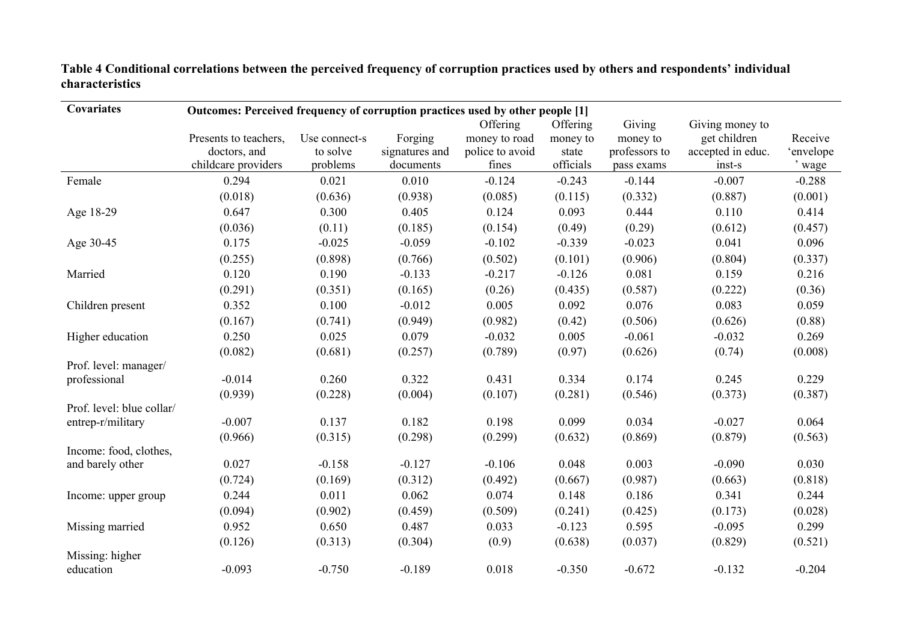#### **Table 4 Conditional correlations between the perceived frequency of corruption practices used by others and respondents' individual characteristics**

| Covariates                | Outcomes: Perceived frequency of corruption practices used by other people [1] |               |                |                 |           |               |                   |           |  |  |  |  |  |
|---------------------------|--------------------------------------------------------------------------------|---------------|----------------|-----------------|-----------|---------------|-------------------|-----------|--|--|--|--|--|
|                           |                                                                                |               |                | Offering        | Offering  | Giving        | Giving money to   |           |  |  |  |  |  |
|                           | Presents to teachers,                                                          | Use connect-s | Forging        | money to road   | money to  | money to      | get children      | Receive   |  |  |  |  |  |
|                           | doctors, and                                                                   | to solve      | signatures and | police to avoid | state     | professors to | accepted in educ. | 'envelope |  |  |  |  |  |
|                           | childcare providers                                                            | problems      | documents      | fines           | officials | pass exams    | inst-s            | ' wage    |  |  |  |  |  |
| Female                    | 0.294                                                                          | 0.021         | 0.010          | $-0.124$        | $-0.243$  | $-0.144$      | $-0.007$          | $-0.288$  |  |  |  |  |  |
|                           | (0.018)                                                                        | (0.636)       | (0.938)        | (0.085)         | (0.115)   | (0.332)       | (0.887)           | (0.001)   |  |  |  |  |  |
| Age 18-29                 | 0.647                                                                          | 0.300         | 0.405          | 0.124           | 0.093     | 0.444         | 0.110             | 0.414     |  |  |  |  |  |
|                           | (0.036)                                                                        | (0.11)        | (0.185)        | (0.154)         | (0.49)    | (0.29)        | (0.612)           | (0.457)   |  |  |  |  |  |
| Age 30-45                 | 0.175                                                                          | $-0.025$      | $-0.059$       | $-0.102$        | $-0.339$  | $-0.023$      | 0.041             | 0.096     |  |  |  |  |  |
|                           | (0.255)                                                                        | (0.898)       | (0.766)        | (0.502)         | (0.101)   | (0.906)       | (0.804)           | (0.337)   |  |  |  |  |  |
| Married                   | 0.120                                                                          | 0.190         | $-0.133$       | $-0.217$        | $-0.126$  | 0.081         | 0.159             | 0.216     |  |  |  |  |  |
|                           | (0.291)                                                                        | (0.351)       | (0.165)        | (0.26)          | (0.435)   | (0.587)       | (0.222)           | (0.36)    |  |  |  |  |  |
| Children present          | 0.352                                                                          | 0.100         | $-0.012$       | 0.005           | 0.092     | 0.076         | 0.083             | 0.059     |  |  |  |  |  |
|                           | (0.167)                                                                        | (0.741)       | (0.949)        | (0.982)         | (0.42)    | (0.506)       | (0.626)           | (0.88)    |  |  |  |  |  |
| Higher education          | 0.250                                                                          | 0.025         | 0.079          | $-0.032$        | 0.005     | $-0.061$      | $-0.032$          | 0.269     |  |  |  |  |  |
|                           | (0.082)                                                                        | (0.681)       | (0.257)        | (0.789)         | (0.97)    | (0.626)       | (0.74)            | (0.008)   |  |  |  |  |  |
| Prof. level: manager/     |                                                                                |               |                |                 |           |               |                   |           |  |  |  |  |  |
| professional              | $-0.014$                                                                       | 0.260         | 0.322          | 0.431           | 0.334     | 0.174         | 0.245             | 0.229     |  |  |  |  |  |
|                           | (0.939)                                                                        | (0.228)       | (0.004)        | (0.107)         | (0.281)   | (0.546)       | (0.373)           | (0.387)   |  |  |  |  |  |
| Prof. level: blue collar/ |                                                                                |               |                |                 |           |               |                   |           |  |  |  |  |  |
| entrep-r/military         | $-0.007$                                                                       | 0.137         | 0.182          | 0.198           | 0.099     | 0.034         | $-0.027$          | 0.064     |  |  |  |  |  |
|                           | (0.966)                                                                        | (0.315)       | (0.298)        | (0.299)         | (0.632)   | (0.869)       | (0.879)           | (0.563)   |  |  |  |  |  |
| Income: food, clothes,    | 0.027                                                                          | $-0.158$      | $-0.127$       | $-0.106$        | 0.048     | 0.003         | $-0.090$          | 0.030     |  |  |  |  |  |
| and barely other          |                                                                                |               |                |                 |           |               |                   |           |  |  |  |  |  |
|                           | (0.724)                                                                        | (0.169)       | (0.312)        | (0.492)         | (0.667)   | (0.987)       | (0.663)           | (0.818)   |  |  |  |  |  |
| Income: upper group       | 0.244                                                                          | 0.011         | 0.062          | 0.074           | 0.148     | 0.186         | 0.341             | 0.244     |  |  |  |  |  |
|                           | (0.094)                                                                        | (0.902)       | (0.459)        | (0.509)         | (0.241)   | (0.425)       | (0.173)           | (0.028)   |  |  |  |  |  |
| Missing married           | 0.952                                                                          | 0.650         | 0.487          | 0.033           | $-0.123$  | 0.595         | $-0.095$          | 0.299     |  |  |  |  |  |
|                           | (0.126)                                                                        | (0.313)       | (0.304)        | (0.9)           | (0.638)   | (0.037)       | (0.829)           | (0.521)   |  |  |  |  |  |
| Missing: higher           |                                                                                |               |                |                 |           |               |                   |           |  |  |  |  |  |
| education                 | $-0.093$                                                                       | $-0.750$      | $-0.189$       | 0.018           | $-0.350$  | $-0.672$      | $-0.132$          | $-0.204$  |  |  |  |  |  |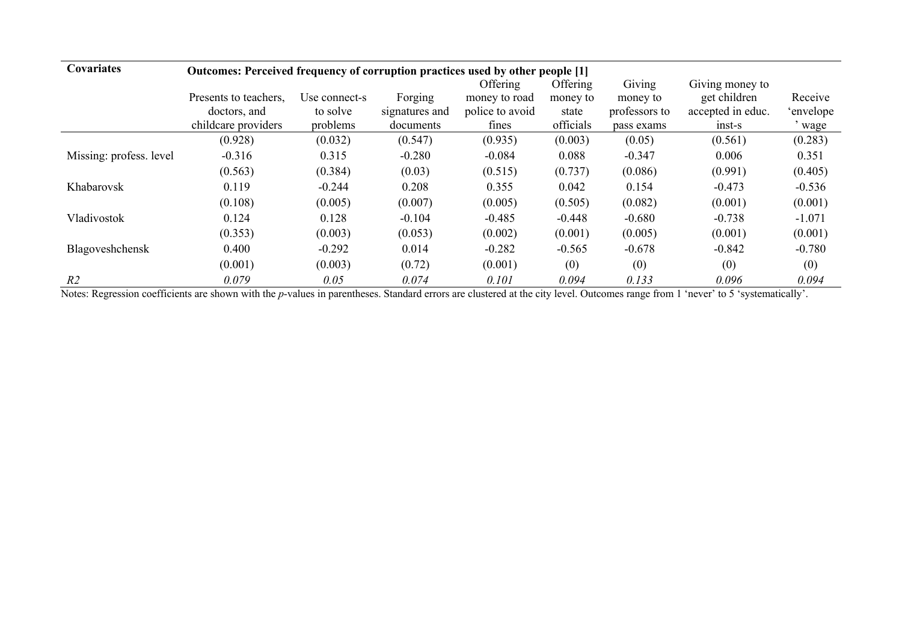| <b>Covariates</b>       | Outcomes: Perceived frequency of corruption practices used by other people [1] |               |                |                 |           |               |                   |           |  |  |
|-------------------------|--------------------------------------------------------------------------------|---------------|----------------|-----------------|-----------|---------------|-------------------|-----------|--|--|
|                         |                                                                                |               |                | Offering        | Offering  | Giving        | Giving money to   |           |  |  |
|                         | Presents to teachers.                                                          | Use connect-s | Forging        | money to road   | money to  | money to      | get children      | Receive   |  |  |
|                         | doctors, and                                                                   | to solve      | signatures and | police to avoid | state     | professors to | accepted in educ. | 'envelope |  |  |
|                         | childcare providers                                                            | problems      | documents      | fines           | officials | pass exams    | $inst-s$          | ' wage    |  |  |
|                         | (0.928)                                                                        | (0.032)       | (0.547)        | (0.935)         | (0.003)   | (0.05)        | (0.561)           | (0.283)   |  |  |
| Missing: profess. level | $-0.316$                                                                       | 0.315         | $-0.280$       | $-0.084$        | 0.088     | $-0.347$      | 0.006             | 0.351     |  |  |
|                         | (0.563)                                                                        | (0.384)       | (0.03)         | (0.515)         | (0.737)   | (0.086)       | (0.991)           | (0.405)   |  |  |
| Khabarovsk              | 0.119                                                                          | $-0.244$      | 0.208          | 0.355           | 0.042     | 0.154         | $-0.473$          | $-0.536$  |  |  |
|                         | (0.108)                                                                        | (0.005)       | (0.007)        | (0.005)         | (0.505)   | (0.082)       | (0.001)           | (0.001)   |  |  |
| Vladivostok             | 0.124                                                                          | 0.128         | $-0.104$       | $-0.485$        | $-0.448$  | $-0.680$      | $-0.738$          | $-1.071$  |  |  |
|                         | (0.353)                                                                        | (0.003)       | (0.053)        | (0.002)         | (0.001)   | (0.005)       | (0.001)           | (0.001)   |  |  |
| Blagoveshchensk         | 0.400                                                                          | $-0.292$      | 0.014          | $-0.282$        | $-0.565$  | $-0.678$      | $-0.842$          | $-0.780$  |  |  |
|                         | (0.001)                                                                        | (0.003)       | (0.72)         | (0.001)         | (0)       | (0)           | (0)               | (0)       |  |  |
| R <sub>2</sub>          | 0.079                                                                          | 0.05          | 0.074          | 0.101           | 0.094     | 0.133         | 0.096             | 0.094     |  |  |

Notes: Regression coefficients are shown with the *p*-values in parentheses. Standard errors are clustered at the city level. Outcomes range from 1 'never' to 5 'systematically'.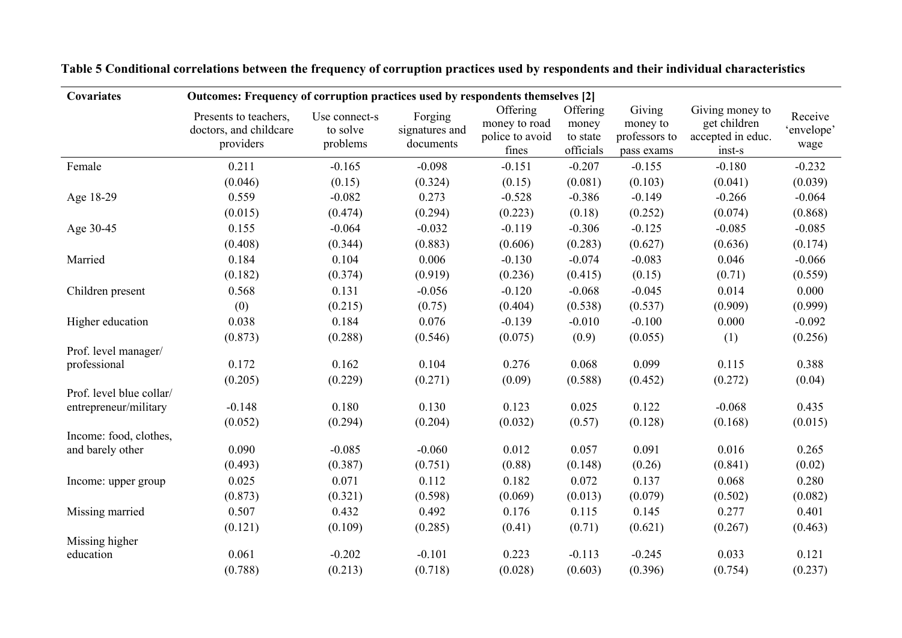| Covariates                                        | Outcomes: Frequency of corruption practices used by respondents themselves [2] |                                       |                                        |                                                       |                                            |                                                   |                                                                |                               |  |
|---------------------------------------------------|--------------------------------------------------------------------------------|---------------------------------------|----------------------------------------|-------------------------------------------------------|--------------------------------------------|---------------------------------------------------|----------------------------------------------------------------|-------------------------------|--|
|                                                   | Presents to teachers,<br>doctors, and childcare<br>providers                   | Use connect-s<br>to solve<br>problems | Forging<br>signatures and<br>documents | Offering<br>money to road<br>police to avoid<br>fines | Offering<br>money<br>to state<br>officials | Giving<br>money to<br>professors to<br>pass exams | Giving money to<br>get children<br>accepted in educ.<br>inst-s | Receive<br>'envelope'<br>wage |  |
| Female                                            | 0.211                                                                          | $-0.165$                              | $-0.098$                               | $-0.151$                                              | $-0.207$                                   | $-0.155$                                          | $-0.180$                                                       | $-0.232$                      |  |
|                                                   | (0.046)                                                                        | (0.15)                                | (0.324)                                | (0.15)                                                | (0.081)                                    | (0.103)                                           | (0.041)                                                        | (0.039)                       |  |
| Age 18-29                                         | 0.559                                                                          | $-0.082$                              | 0.273                                  | $-0.528$                                              | $-0.386$                                   | $-0.149$                                          | $-0.266$                                                       | $-0.064$                      |  |
|                                                   | (0.015)                                                                        | (0.474)                               | (0.294)                                | (0.223)                                               | (0.18)                                     | (0.252)                                           | (0.074)                                                        | (0.868)                       |  |
| Age 30-45                                         | 0.155                                                                          | $-0.064$                              | $-0.032$                               | $-0.119$                                              | $-0.306$                                   | $-0.125$                                          | $-0.085$                                                       | $-0.085$                      |  |
|                                                   | (0.408)                                                                        | (0.344)                               | (0.883)                                | (0.606)                                               | (0.283)                                    | (0.627)                                           | (0.636)                                                        | (0.174)                       |  |
| Married                                           | 0.184                                                                          | 0.104                                 | 0.006                                  | $-0.130$                                              | $-0.074$                                   | $-0.083$                                          | 0.046                                                          | $-0.066$                      |  |
|                                                   | (0.182)                                                                        | (0.374)                               | (0.919)                                | (0.236)                                               | (0.415)                                    | (0.15)                                            | (0.71)                                                         | (0.559)                       |  |
| Children present                                  | 0.568                                                                          | 0.131                                 | $-0.056$                               | $-0.120$                                              | $-0.068$                                   | $-0.045$                                          | 0.014                                                          | 0.000                         |  |
|                                                   | (0)                                                                            | (0.215)                               | (0.75)                                 | (0.404)                                               | (0.538)                                    | (0.537)                                           | (0.909)                                                        | (0.999)                       |  |
| Higher education                                  | 0.038                                                                          | 0.184                                 | 0.076                                  | $-0.139$                                              | $-0.010$                                   | $-0.100$                                          | 0.000                                                          | $-0.092$                      |  |
|                                                   | (0.873)                                                                        | (0.288)                               | (0.546)                                | (0.075)                                               | (0.9)                                      | (0.055)                                           | (1)                                                            | (0.256)                       |  |
| Prof. level manager/                              |                                                                                |                                       |                                        |                                                       |                                            |                                                   |                                                                |                               |  |
| professional                                      | 0.172                                                                          | 0.162                                 | 0.104                                  | 0.276                                                 | 0.068                                      | 0.099                                             | 0.115                                                          | 0.388                         |  |
|                                                   | (0.205)                                                                        | (0.229)                               | (0.271)                                | (0.09)                                                | (0.588)                                    | (0.452)                                           | (0.272)                                                        | (0.04)                        |  |
| Prof. level blue collar/<br>entrepreneur/military | $-0.148$                                                                       | 0.180                                 | 0.130                                  | 0.123                                                 | 0.025                                      | 0.122                                             | $-0.068$                                                       | 0.435                         |  |
|                                                   | (0.052)                                                                        | (0.294)                               | (0.204)                                | (0.032)                                               | (0.57)                                     | (0.128)                                           | (0.168)                                                        | (0.015)                       |  |
| Income: food, clothes,                            |                                                                                |                                       |                                        |                                                       |                                            |                                                   |                                                                |                               |  |
| and barely other                                  | 0.090                                                                          | $-0.085$                              | $-0.060$                               | 0.012                                                 | 0.057                                      | 0.091                                             | 0.016                                                          | 0.265                         |  |
|                                                   | (0.493)                                                                        | (0.387)                               | (0.751)                                | (0.88)                                                | (0.148)                                    | (0.26)                                            | (0.841)                                                        | (0.02)                        |  |
| Income: upper group                               | 0.025                                                                          | 0.071                                 | 0.112                                  | 0.182                                                 | 0.072                                      | 0.137                                             | 0.068                                                          | 0.280                         |  |
|                                                   | (0.873)                                                                        | (0.321)                               | (0.598)                                | (0.069)                                               | (0.013)                                    | (0.079)                                           | (0.502)                                                        | (0.082)                       |  |
| Missing married                                   | 0.507                                                                          | 0.432                                 | 0.492                                  | 0.176                                                 | 0.115                                      | 0.145                                             | 0.277                                                          | 0.401                         |  |
|                                                   | (0.121)                                                                        | (0.109)                               | (0.285)                                | (0.41)                                                | (0.71)                                     | (0.621)                                           | (0.267)                                                        | (0.463)                       |  |
| Missing higher                                    |                                                                                |                                       |                                        |                                                       |                                            |                                                   |                                                                |                               |  |
| education                                         | 0.061                                                                          | $-0.202$                              | $-0.101$                               | 0.223                                                 | $-0.113$                                   | $-0.245$                                          | 0.033                                                          | 0.121                         |  |
|                                                   | (0.788)                                                                        | (0.213)                               | (0.718)                                | (0.028)                                               | (0.603)                                    | (0.396)                                           | (0.754)                                                        | (0.237)                       |  |

**Table 5 Conditional correlations between the frequency of corruption practices used by respondents and their individual characteristics**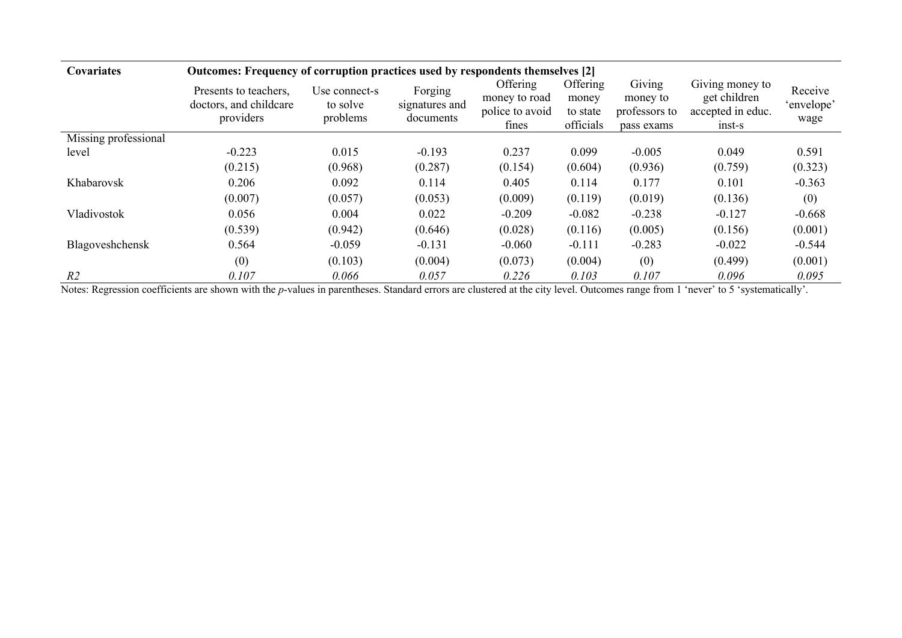| Covariates           | Outcomes: Frequency of corruption practices used by respondents themselves [2] |                                       |                                        |                                                       |                                            |                                                   |                                                                  |                               |
|----------------------|--------------------------------------------------------------------------------|---------------------------------------|----------------------------------------|-------------------------------------------------------|--------------------------------------------|---------------------------------------------------|------------------------------------------------------------------|-------------------------------|
|                      | Presents to teachers,<br>doctors, and childcare<br>providers                   | Use connect-s<br>to solve<br>problems | Forging<br>signatures and<br>documents | Offering<br>money to road<br>police to avoid<br>fines | Offering<br>money<br>to state<br>officials | Giving<br>money to<br>professors to<br>pass exams | Giving money to<br>get children<br>accepted in educ.<br>$inst-s$ | Receive<br>'envelope'<br>wage |
| Missing professional |                                                                                |                                       |                                        |                                                       |                                            |                                                   |                                                                  |                               |
| level                | $-0.223$                                                                       | 0.015                                 | $-0.193$                               | 0.237                                                 | 0.099                                      | $-0.005$                                          | 0.049                                                            | 0.591                         |
|                      | (0.215)                                                                        | (0.968)                               | (0.287)                                | (0.154)                                               | (0.604)                                    | (0.936)                                           | (0.759)                                                          | (0.323)                       |
| Khabarovsk           | 0.206                                                                          | 0.092                                 | 0.114                                  | 0.405                                                 | 0.114                                      | 0.177                                             | 0.101                                                            | $-0.363$                      |
|                      | (0.007)                                                                        | (0.057)                               | (0.053)                                | (0.009)                                               | (0.119)                                    | (0.019)                                           | (0.136)                                                          | (0)                           |
| Vladivostok          | 0.056                                                                          | 0.004                                 | 0.022                                  | $-0.209$                                              | $-0.082$                                   | $-0.238$                                          | $-0.127$                                                         | $-0.668$                      |
|                      | (0.539)                                                                        | (0.942)                               | (0.646)                                | (0.028)                                               | (0.116)                                    | (0.005)                                           | (0.156)                                                          | (0.001)                       |
| Blagoveshchensk      | 0.564                                                                          | $-0.059$                              | $-0.131$                               | $-0.060$                                              | $-0.111$                                   | $-0.283$                                          | $-0.022$                                                         | $-0.544$                      |
|                      | (0)                                                                            | (0.103)                               | (0.004)                                | (0.073)                                               | (0.004)                                    | (0)                                               | (0.499)                                                          | (0.001)                       |
| R <sub>2</sub>       | 0.107                                                                          | 0.066                                 | 0.057                                  | 0.226                                                 | 0.103                                      | 0.107                                             | 0.096                                                            | 0.095                         |

Notes: Regression coefficients are shown with the *p*-values in parentheses. Standard errors are clustered at the city level. Outcomes range from 1 'never' to 5 'systematically'.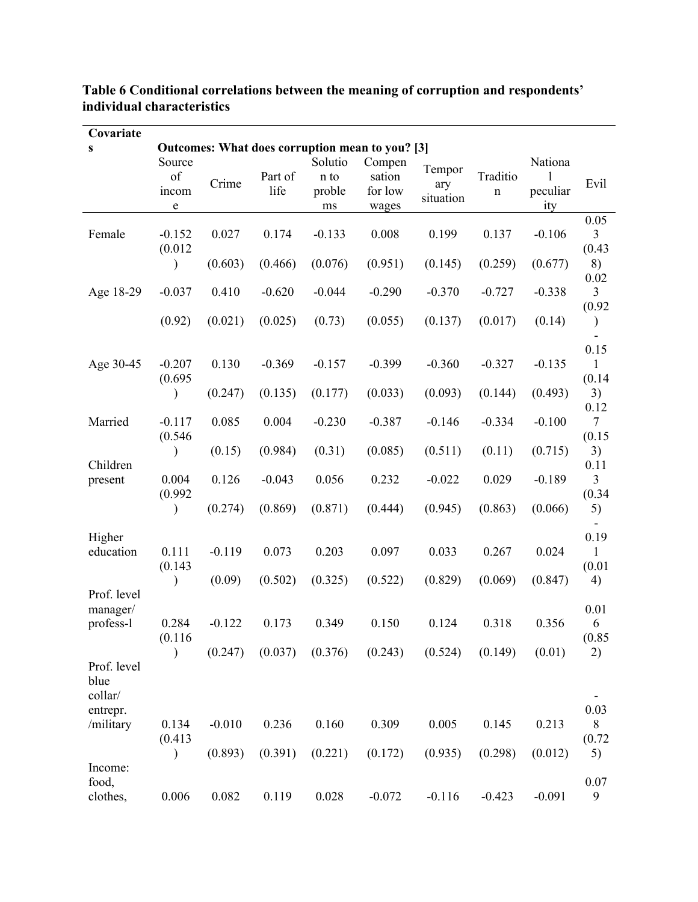| Covariate                      |                            |          |                 |                                 |                                                 |                            |                         |                                 |                                  |
|--------------------------------|----------------------------|----------|-----------------|---------------------------------|-------------------------------------------------|----------------------------|-------------------------|---------------------------------|----------------------------------|
| S                              |                            |          |                 |                                 | Outcomes: What does corruption mean to you? [3] |                            |                         |                                 |                                  |
|                                | Source<br>of<br>incom<br>e | Crime    | Part of<br>life | Solutio<br>n to<br>proble<br>ms | Compen<br>sation<br>for low<br>wages            | Tempor<br>ary<br>situation | Traditio<br>$\mathbf n$ | Nationa<br>1<br>peculiar<br>ity | Evil                             |
| Female                         | $-0.152$<br>(0.012)        | 0.027    | 0.174           | $-0.133$                        | 0.008                                           | 0.199                      | 0.137                   | $-0.106$                        | 0.05<br>$\mathfrak{Z}$<br>(0.43) |
|                                | $\mathcal{E}$              | (0.603)  | (0.466)         | (0.076)                         | (0.951)                                         | (0.145)                    | (0.259)                 | (0.677)                         | 8)<br>0.02                       |
| Age 18-29                      | $-0.037$                   | 0.410    | $-0.620$        | $-0.044$                        | $-0.290$                                        | $-0.370$                   | $-0.727$                | $-0.338$                        | $\mathfrak{Z}$<br>(0.92)         |
|                                | (0.92)                     | (0.021)  | (0.025)         | (0.73)                          | (0.055)                                         | (0.137)                    | (0.017)                 | (0.14)                          | $\mathcal{E}$                    |
| Age 30-45                      | $-0.207$<br>(0.695)        | 0.130    | $-0.369$        | $-0.157$                        | $-0.399$                                        | $-0.360$                   | $-0.327$                | $-0.135$                        | 0.15<br>$\mathbf{1}$<br>(0.14)   |
|                                |                            | (0.247)  | (0.135)         | (0.177)                         | (0.033)                                         | (0.093)                    | (0.144)                 | (0.493)                         | 3)<br>0.12                       |
| Married                        | $-0.117$<br>(0.546)        | 0.085    | 0.004           | $-0.230$                        | $-0.387$                                        | $-0.146$                   | $-0.334$                | $-0.100$                        | $\tau$<br>(0.15)                 |
| Children                       | $\mathcal{E}$              | (0.15)   | (0.984)         | (0.31)                          | (0.085)                                         | (0.511)                    | (0.11)                  | (0.715)                         | 3)<br>0.11                       |
| present                        | 0.004<br>(0.992)           | 0.126    | $-0.043$        | 0.056                           | 0.232                                           | $-0.022$                   | 0.029                   | $-0.189$                        | 3<br>(0.34)                      |
|                                | $\mathcal{E}$              | (0.274)  | (0.869)         | (0.871)                         | (0.444)                                         | (0.945)                    | (0.863)                 | (0.066)                         | 5)                               |
| Higher<br>education            | 0.111<br>(0.143)           | $-0.119$ | 0.073           | 0.203                           | 0.097                                           | 0.033                      | 0.267                   | 0.024                           | 0.19<br>$\mathbf{1}$<br>(0.01)   |
| Prof. level                    | $\mathcal{E}$              | (0.09)   | (0.502)         | (0.325)                         | (0.522)                                         | (0.829)                    | (0.069)                 | (0.847)                         | 4)                               |
| manager/<br>profess-l          | 0.284<br>(0.116)           | $-0.122$ | 0.173           | 0.349                           | 0.150                                           | 0.124                      | 0.318                   | 0.356                           | 0.01<br>6<br>(0.85)              |
| Prof. level<br>blue<br>collar/ | ⟩                          | (0.247)  | (0.037)         | (0.376)                         | (0.243)                                         | (0.524)                    | (0.149)                 | (0.01)                          | 2)                               |
| entrepr.<br>/military          | 0.134                      | $-0.010$ | 0.236           | 0.160                           | 0.309                                           | 0.005                      | 0.145                   | 0.213                           | 0.03<br>$\,8\,$                  |
| Income:                        | (0.413)<br>$\mathcal{E}$   | (0.893)  | (0.391)         | (0.221)                         | (0.172)                                         | (0.935)                    | (0.298)                 | (0.012)                         | (0.72)<br>5)                     |
| food,<br>clothes,              | 0.006                      | 0.082    | 0.119           | 0.028                           | $-0.072$                                        | $-0.116$                   | $-0.423$                | $-0.091$                        | 0.07<br>9                        |

### **Table 6 Conditional correlations between the meaning of corruption and respondents' individual characteristics**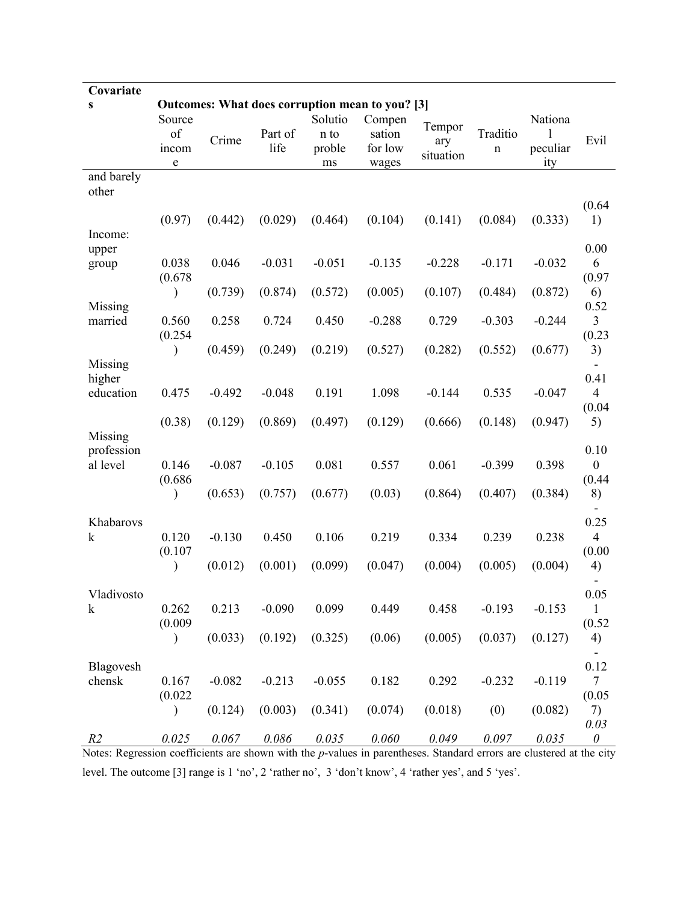| Covariate              |                                    |          |                 |                                 |                                                                                         |                            |                         |                                 |                                    |
|------------------------|------------------------------------|----------|-----------------|---------------------------------|-----------------------------------------------------------------------------------------|----------------------------|-------------------------|---------------------------------|------------------------------------|
| S                      | Source<br>of<br>incom<br>${\bf e}$ | Crime    | Part of<br>life | Solutio<br>n to<br>proble<br>ms | Outcomes: What does corruption mean to you? [3]<br>Compen<br>sation<br>for low<br>wages | Tempor<br>ary<br>situation | Traditio<br>$\mathbf n$ | Nationa<br>1<br>peculiar<br>ity | Evil                               |
| and barely             |                                    |          |                 |                                 |                                                                                         |                            |                         |                                 |                                    |
| other                  | (0.97)                             | (0.442)  | (0.029)         | (0.464)                         | (0.104)                                                                                 | (0.141)                    | (0.084)                 | (0.333)                         | (0.64)<br>1)                       |
| Income:<br>upper       |                                    |          |                 |                                 |                                                                                         |                            |                         |                                 | 0.00                               |
| group                  | 0.038<br>(0.678)                   | 0.046    | $-0.031$        | $-0.051$                        | $-0.135$                                                                                | $-0.228$                   | $-0.171$                | $-0.032$                        | 6<br>(0.97)                        |
| Missing                |                                    | (0.739)  | (0.874)         | (0.572)                         | (0.005)                                                                                 | (0.107)                    | (0.484)                 | (0.872)                         | 6)<br>0.52                         |
| married                | 0.560<br>(0.254)                   | 0.258    | 0.724           | 0.450                           | $-0.288$                                                                                | 0.729                      | $-0.303$                | $-0.244$                        | $\overline{3}$<br>(0.23)           |
| Missing                |                                    | (0.459)  | (0.249)         | (0.219)                         | (0.527)                                                                                 | (0.282)                    | (0.552)                 | (0.677)                         | 3)                                 |
| higher<br>education    | 0.475                              | $-0.492$ | $-0.048$        | 0.191                           | 1.098                                                                                   | $-0.144$                   | 0.535                   | $-0.047$                        | 0.41<br>$\overline{4}$             |
| Missing                | (0.38)                             | (0.129)  | (0.869)         | (0.497)                         | (0.129)                                                                                 | (0.666)                    | (0.148)                 | (0.947)                         | (0.04)<br>5)                       |
| profession<br>al level | 0.146<br>(0.686)                   | $-0.087$ | $-0.105$        | 0.081                           | 0.557                                                                                   | 0.061                      | $-0.399$                | 0.398                           | 0.10<br>$\boldsymbol{0}$<br>(0.44) |
|                        |                                    | (0.653)  | (0.757)         | (0.677)                         | (0.03)                                                                                  | (0.864)                    | (0.407)                 | (0.384)                         | 8)                                 |
| Khabarovs              |                                    |          |                 |                                 |                                                                                         |                            |                         |                                 | 0.25                               |
| k                      | 0.120<br>(0.107)                   | $-0.130$ | 0.450           | 0.106                           | 0.219                                                                                   | 0.334                      | 0.239                   | 0.238                           | $\overline{4}$<br>(0.00)           |
|                        |                                    | (0.012)  | (0.001)         | (0.099)                         | (0.047)                                                                                 | (0.004)                    | (0.005)                 | (0.004)                         | 4)                                 |
| Vladivosto             |                                    |          |                 |                                 |                                                                                         |                            |                         |                                 | $0.05\,$                           |
| k                      | 0.262<br>(0.009)                   | 0.213    | $-0.090$        | 0.099                           | 0.449                                                                                   | 0.458                      | $-0.193$                | $-0.153$                        | 1<br>(0.52)                        |
|                        | $\mathcal{Y}$                      | (0.033)  | (0.192)         | (0.325)                         | (0.06)                                                                                  | (0.005)                    | (0.037)                 | (0.127)                         | 4)                                 |
| Blagovesh<br>chensk    | 0.167<br>(0.022)                   | $-0.082$ | $-0.213$        | $-0.055$                        | 0.182                                                                                   | 0.292                      | $-0.232$                | $-0.119$                        | 0.12<br>$\tau$<br>(0.05)           |
|                        |                                    | (0.124)  | (0.003)         | (0.341)                         | (0.074)                                                                                 | (0.018)                    | (0)                     | (0.082)                         | 7)<br>0.03                         |
| R <sub>2</sub>         | 0.025                              | 0.067    | 0.086           | 0.035                           | 0.060                                                                                   | 0.049                      | 0.097                   | 0.035                           | $\theta$                           |

Notes: Regression coefficients are shown with the *p*-values in parentheses. Standard errors are clustered at the city level. The outcome [3] range is 1 'no', 2 'rather no', 3 'don't know', 4 'rather yes', and 5 'yes'.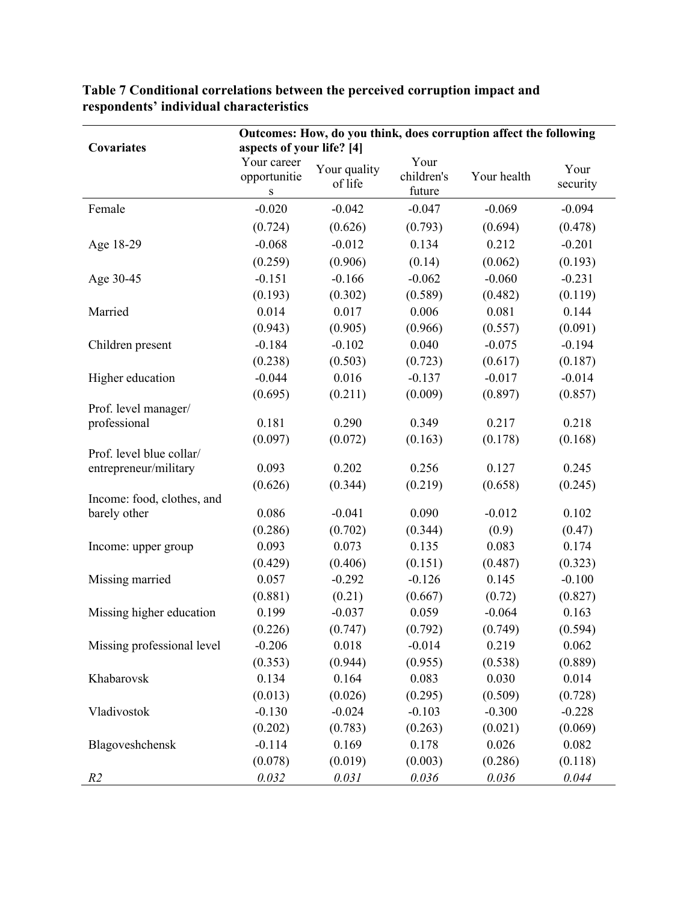|                            | Outcomes: How, do you think, does corruption affect the following |                         |                              |             |                  |
|----------------------------|-------------------------------------------------------------------|-------------------------|------------------------------|-------------|------------------|
| <b>Covariates</b>          | aspects of your life? [4]                                         |                         |                              |             |                  |
|                            | Your career<br>opportunitie<br>${\bf S}$                          | Your quality<br>of life | Your<br>children's<br>future | Your health | Your<br>security |
| Female                     | $-0.020$                                                          | $-0.042$                | $-0.047$                     | $-0.069$    | $-0.094$         |
|                            | (0.724)                                                           | (0.626)                 | (0.793)                      | (0.694)     | (0.478)          |
| Age 18-29                  | $-0.068$                                                          | $-0.012$                | 0.134                        | 0.212       | $-0.201$         |
|                            | (0.259)                                                           | (0.906)                 | (0.14)                       | (0.062)     | (0.193)          |
| Age 30-45                  | $-0.151$                                                          | $-0.166$                | $-0.062$                     | $-0.060$    | $-0.231$         |
|                            | (0.193)                                                           | (0.302)                 | (0.589)                      | (0.482)     | (0.119)          |
| Married                    | 0.014                                                             | 0.017                   | 0.006                        | 0.081       | 0.144            |
|                            | (0.943)                                                           | (0.905)                 | (0.966)                      | (0.557)     | (0.091)          |
| Children present           | $-0.184$                                                          | $-0.102$                | 0.040                        | $-0.075$    | $-0.194$         |
|                            | (0.238)                                                           | (0.503)                 | (0.723)                      | (0.617)     | (0.187)          |
| Higher education           | $-0.044$                                                          | 0.016                   | $-0.137$                     | $-0.017$    | $-0.014$         |
|                            | (0.695)                                                           | (0.211)                 | (0.009)                      | (0.897)     | (0.857)          |
| Prof. level manager/       |                                                                   |                         |                              |             |                  |
| professional               | 0.181                                                             | 0.290                   | 0.349                        | 0.217       | 0.218            |
| Prof. level blue collar/   | (0.097)                                                           | (0.072)                 | (0.163)                      | (0.178)     | (0.168)          |
| entrepreneur/military      | 0.093                                                             | 0.202                   | 0.256                        | 0.127       | 0.245            |
|                            | (0.626)                                                           | (0.344)                 | (0.219)                      | (0.658)     | (0.245)          |
| Income: food, clothes, and |                                                                   |                         |                              |             |                  |
| barely other               | 0.086                                                             | $-0.041$                | 0.090                        | $-0.012$    | 0.102            |
|                            | (0.286)                                                           | (0.702)                 | (0.344)                      | (0.9)       | (0.47)           |
| Income: upper group        | 0.093                                                             | 0.073                   | 0.135                        | 0.083       | 0.174            |
|                            | (0.429)                                                           | (0.406)                 | (0.151)                      | (0.487)     | (0.323)          |
| Missing married            | 0.057                                                             | $-0.292$                | $-0.126$                     | 0.145       | $-0.100$         |
|                            | (0.881)                                                           | (0.21)                  | (0.667)                      | (0.72)      | (0.827)          |
| Missing higher education   | 0.199                                                             | $-0.037$                | 0.059                        | $-0.064$    | 0.163            |
|                            | (0.226)                                                           | (0.747)                 | (0.792)                      | (0.749)     | (0.594)          |
| Missing professional level | $-0.206$                                                          | 0.018                   | $-0.014$                     | 0.219       | 0.062            |
|                            | (0.353)                                                           | (0.944)                 | (0.955)                      | (0.538)     | (0.889)          |
| Khabarovsk                 | 0.134                                                             | 0.164                   | 0.083                        | 0.030       | 0.014            |
|                            | (0.013)                                                           | (0.026)                 | (0.295)                      | (0.509)     | (0.728)          |
| Vladivostok                | $-0.130$                                                          | $-0.024$                | $-0.103$                     | $-0.300$    | $-0.228$         |
|                            | (0.202)                                                           | (0.783)                 | (0.263)                      | (0.021)     | (0.069)          |
| Blagoveshchensk            | $-0.114$                                                          | 0.169                   | 0.178                        | 0.026       | 0.082            |
|                            | (0.078)                                                           | (0.019)                 | (0.003)                      | (0.286)     | (0.118)          |
| R <sub>2</sub>             | 0.032                                                             | 0.031                   | 0.036                        | 0.036       | 0.044            |

**Table 7 Conditional correlations between the perceived corruption impact and respondents' individual characteristics**